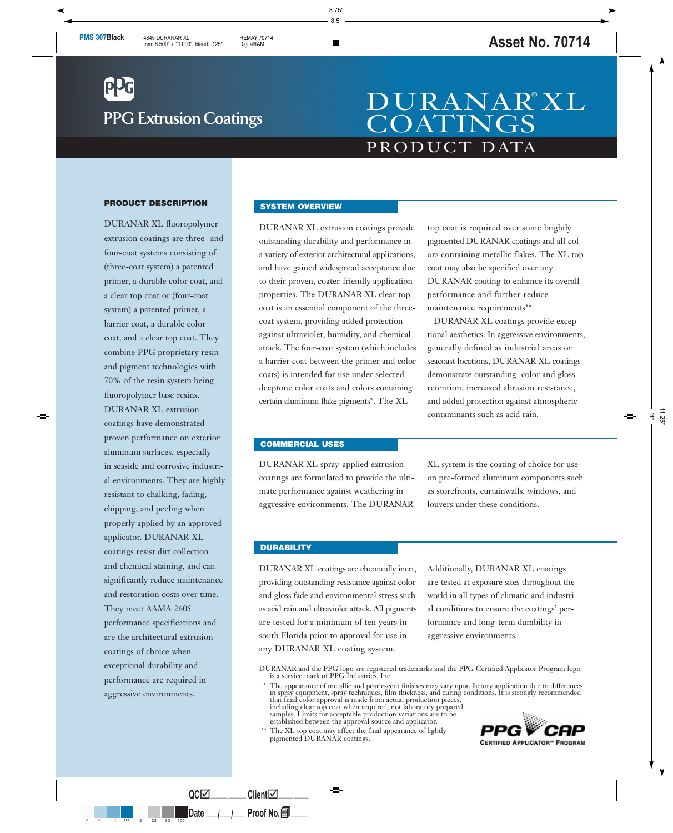# **PPG Extrusion Coatings**

## PRODUCT DATA DURANAR® XL **COATINGS**

#### **PRODUCT DESCRIPTION**

DURANAR XL fluoropolymer extrusion coatings are three- and four-coat systems consisting of (three-coat system) a patented primer, a durable color coat, and a clear top coat or (four-coat system) a patented primer, a barrier coat, a durable color coat, and a clear top coat. They combine PPG proprietary resin and pigment technologies with 70% of the resin system being fluoropolymer base resins. DURANAR XL extrusion coatings have demonstrated proven performance on exterior aluminum surfaces, especially in seaside and corrosive industrial environments. They are highly resistant to chalking, fading, chipping, and peeling when properly applied by an approved applicator. DURANAR XL coatings resist dirt collection and chemical staining, and can significantly reduce maintenance and restoration costs over time. They meet AAMA 2605 performance specifications and are the architectural extrusion coatings of choice when exceptional durability and performance are required in aggressive environments.

#### **SYSTEM OVERVIEW**

DURANAR XL extrusion coatings provide outstanding durability and performance in a variety of exterior architectural applications, and have gained widespread acceptance due to their proven, coater-friendly application properties. The DURANAR XL clear top coat is an essential component of the threecoat system, providing added protection against ultraviolet, humidity, and chemical attack. The four-coat system (which includes a barrier coat between the primer and color coats) is intended for use under selected deeptone color coats and colors containing certain aluminum flake pigments\*. The XL

top coat is required over some brightly pigmented DURANAR coatings and all colors containing metallic flakes. The XL top coat may also be specified over any DURANAR coating to enhance its overall performance and further reduce maintenance requirements\*\*.

DURANAR XL coatings provide exceptional aesthetics. In aggressive environments, generally defined as industrial areas or seacoast locations, DURANAR XL coatings demonstrate outstanding color and gloss retention, increased abrasion resistance, and added protection against atmospheric contaminants such as acid rain.

#### **COMMERCIAL USES**

DURANAR XL spray-applied extrusion coatings are formulated to provide the ultimate performance against weathering in aggressive environments. The DURANAR

XL system is the coating of choice for use on pre-formed aluminum components such as storefronts, curtainwalls, windows, and louvers under these conditions.

#### **DURABILITY**

DURANAR XL coatings are chemically inert, providing outstanding resistance against color and gloss fade and environmental stress such as acid rain and ultraviolet attack. All pigments are tested for a minimum of ten years in south Florida prior to approval for use in any DURANAR XL coating system.

Additionally, DURANAR XL coatings are tested at exposure sites throughout the world in all types of climatic and industrial conditions to ensure the coatings' performance and long-term durability in aggressive environments.

DURANAR and the PPG logo are registered trademarks and the PPG Certified Applicator Program logo is a service mark of PPG Industries, Inc.

\* The appearance of metallic and pearlescent finishes may vary upon factory application due to differences in spray equipment, spray techniques, film thickness, and curing conditions. It is strongly recommended that final color approval is made from actual production pieces, including clear top coat when required, not laboratory prepared samples. Limits for acceptable production variations are to be established between the approval source and applicator.

The XL top coat may affect the final appearance of lightly pigmented DURANAR coatings.